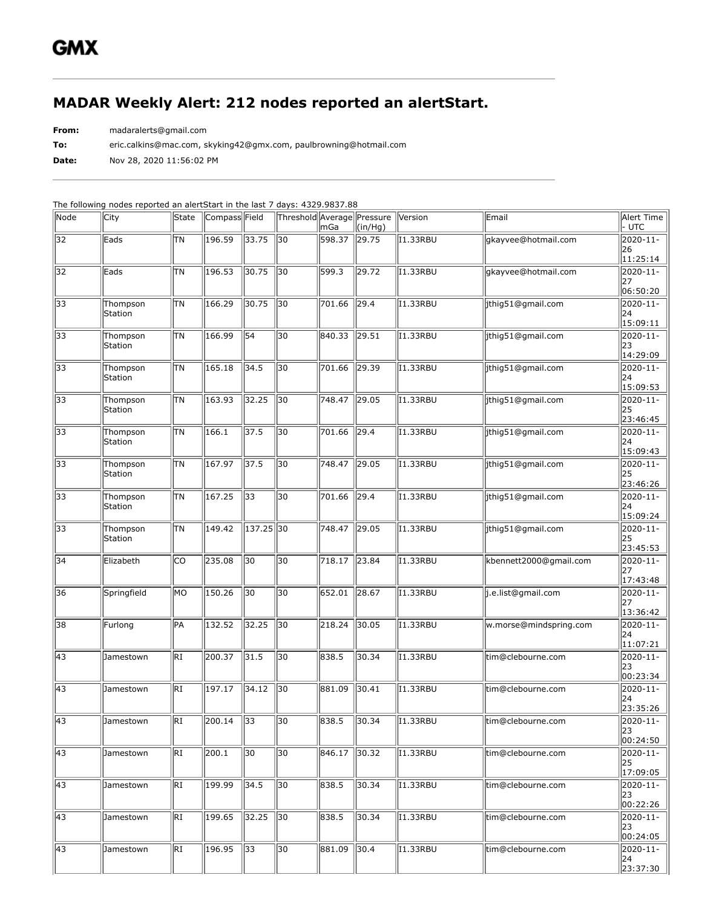## **MADAR Weekly Alert: 212 nodes reported an alertStart.**

**From:** madaralerts@gmail.com

**To:** eric.calkins@mac.com, skyking42@gmx.com, paulbrowning@hotmail.com

**Date:** Nov 28, 2020 11:56:02 PM

| Node            | City                       | State           | Compass Field |             | Threshold Average Pressure | $\overline{\mathsf{mGa}}$ | $(\text{in/Hg})$ | Version           | Email                  | Alert Time<br> - UTC                     |
|-----------------|----------------------------|-----------------|---------------|-------------|----------------------------|---------------------------|------------------|-------------------|------------------------|------------------------------------------|
| $\overline{32}$ | Eads                       | <b>TN</b>       | 196.59        | 33.75       | 30                         | 598.37                    | 29.75            | I1.33RBU          | gkayvee@hotmail.com    | $2020 - 11 -$<br>26<br>11:25:14          |
| 32              | Eads                       | lτn             | 196.53        | 30.75       | 30                         | 599.3                     | 29.72            | <b>I1.33RBU</b>   | gkayvee@hotmail.com    | 2020-11-<br>27<br>06:50:20               |
| $\overline{33}$ | Thompson<br>Station        | ΠN              | 166.29        | 30.75       | 30                         | 701.66                    | 29.4             | I1.33RBU          | jthig51@gmail.com      | 2020-11-<br>24<br>15:09:11               |
| 33              | Thompson<br>Station        | <b>TN</b>       | 166.99        | 54          | 30                         | 840.33                    | 29.51            | I1.33RBU          | jthig51@gmail.com      | $\overline{2020-11}$ -<br>23<br>14:29:09 |
| 33              | Thompson<br>Station        | lτn             | 165.18        | 34.5        | 30                         | 701.66                    | $\sqrt{29.39}$   | <b>I1.33RBU</b>   | jthig51@gmail.com      | 2020-11-<br>24<br>15:09:53               |
| $\overline{33}$ | Thompson<br>Station        | ΠN              | 163.93        | 32.25       | 30                         | 748.47                    | 29.05            | I1.33RBU          | jthig51@gmail.com      | 2020-11-<br>25<br>23:46:45               |
| 33              | Thompson<br>Station        | TN              | 166.1         | 37.5        | 30                         | 701.66                    | 29.4             | I1.33RBU          | jthig51@gmail.com      | $\overline{2020-11}$ -<br>24<br>15:09:43 |
| 33              | Thompson<br>Station        | ΠN              | 167.97        | 37.5        | 30                         | 748.47                    | 29.05            | I1.33RBU          | jthig51@gmail.com      | 2020-11-<br>25<br>23:46:26               |
| $\overline{33}$ | Thompson<br>Station        | ΠN              | 167.25        | 33          | 30                         | 701.66                    | 29.4             | I1.33RBU          | jthig51@gmail.com      | 2020-11-<br>24<br>15:09:24               |
| 33              | Thompson<br><b>Station</b> | <b>TN</b>       | 149.42        | $137.25$ 30 |                            | 748.47                    | 29.05            | I1.33RBU          | jthig51@gmail.com      | $\overline{2020-11}$ -<br>25<br>23:45:53 |
| 34              | Elizabeth                  | lco             | 235.08        | 30          | 30                         | 718.17                    | 23.84            | <b>I1.33RBU</b>   | kbennett2000@gmail.com | 2020-11-<br>127<br>17:43:48              |
| 36              | Springfield                | lмo             | 150.26        | 30          | 30                         | 652.01                    | 28.67            | I1.33RBU          | j.e.list@gmail.com     | 2020-11-<br>27<br>13:36:42               |
| 38              | Furlong                    | PA              | 132.52        | 32.25       | 30                         | 218.24                    | 30.05            | I1.33RBU          | w.morse@mindspring.com | $\overline{2020-11}$ -<br>24<br>11:07:21 |
| $\overline{43}$ | Jamestown                  | $\overline{RI}$ | 200.37        | 31.5        | $\overline{30}$            | 838.5                     | 30.34            | <b>I1.33RBU</b>   | tim@clebourne.com      | 2020-11-<br>23<br>00:23:34               |
| $\sqrt{43}$     | Jamestown                  | ki              | 197.17        | 34.12       | 30                         | 881.09                    | 30.41            | I1.33RBU          | tim@clebourne.com      | 2020-11-<br>24<br>23:35:26               |
| $\sqrt{43}$     | Jamestown                  | RI              | $200.14$ 33   |             | $\sqrt{30}$                | 838.5                     | 30.34            | $\sqrt{11.33RBU}$ | tim@clebourne.com      | 2020-11-<br>23<br>00:24:50               |
| 43              | Jamestown                  | RI              | 200.1         | 30          | 30                         | 846.17                    | 30.32            | I1.33RBU          | tim@clebourne.com      | $\overline{2020-11}$ -<br>25<br>17:09:05 |
| $\sqrt{43}$     | Jamestown                  | RI              | 199.99        | 34.5        | 30                         | 838.5                     | 30.34            | I1.33RBU          | tim@clebourne.com      | 2020-11-<br>23<br>00:22:26               |
| 43              | Jamestown                  | RI              | 199.65        | 32.25       | $\parallel$ 30             | 838.5                     | 30.34            | I1.33RBU          | tim@clebourne.com      | 2020-11-<br>23<br> 00:24:05              |
| $\sqrt{43}$     | Jamestown                  | RI              | 196.95        | 33          | 30                         | 881.09                    | 30.4             | I1.33RBU          | tim@clebourne.com      | 2020-11-<br>24<br>23:37:30               |

The following nodes reported an alertStart in the last 7 days: 4329.9837.88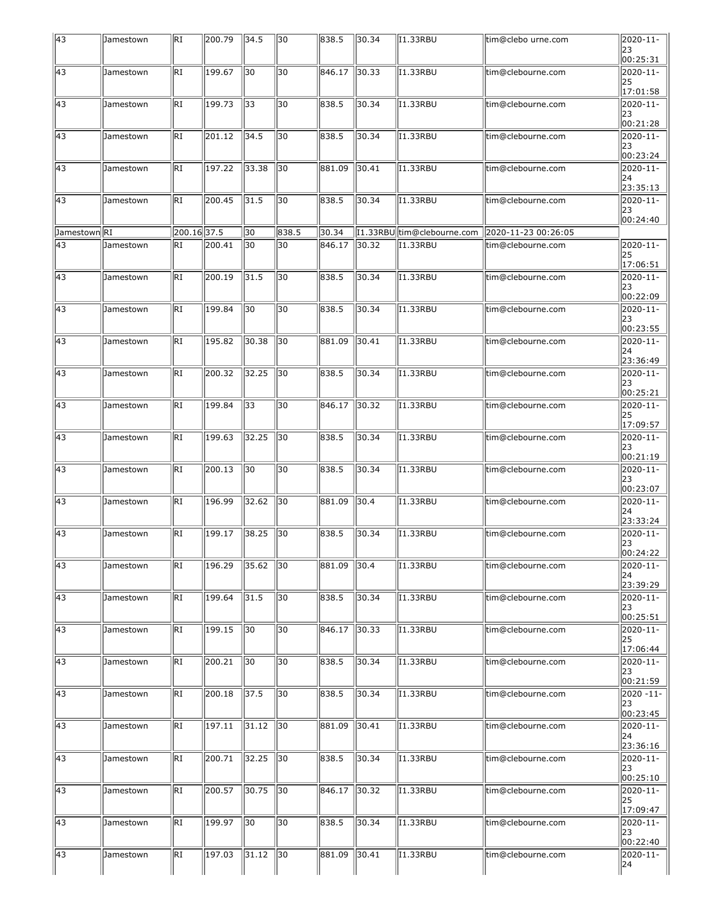| $\sqrt{43}$     | Jamestown | RI          | 200.79 | 34.5  | 30    | 838.5  | 30.34 | I1.33RBU                   | tim@clebo urne.com  | $\overline{20}20-11-$<br>23<br>00:25:31  |
|-----------------|-----------|-------------|--------|-------|-------|--------|-------|----------------------------|---------------------|------------------------------------------|
| $\sqrt{43}$     | Jamestown | RI          | 199.67 | 30    | 30    | 846.17 | 30.33 | II.33RBU                   | tim@clebourne.com   | 2020-11-<br>25<br>17:01:58               |
| $\sqrt{43}$     | Jamestown | RI          | 199.73 | 33    | 30    | 838.5  | 30.34 | II.33RBU                   | tim@clebourne.com   | 2020-11-<br>23<br>00:21:28               |
| $\sqrt{43}$     | Jamestown | RI          | 201.12 | 34.5  | 30    | 838.5  | 30.34 | II.33RBU                   | tim@clebourne.com   | 2020-11-<br>23<br>00:23:24               |
| $\sqrt{43}$     | Jamestown | RI          | 197.22 | 33.38 | 30    | 881.09 | 30.41 | II.33RBU                   | tim@clebourne.com   | 2020-11-<br>24<br>23:35:13               |
| $\overline{43}$ | Jamestown | RI          | 200.45 | 31.5  | 30    | 838.5  | 30.34 | II.33RBU                   | tim@clebourne.com   | 2020-11-<br>23<br>00:24:40               |
| Jamestown RI    |           | 200.16 37.5 |        | 30    | 838.5 | 30.34  |       | [1.33RBU tim@clebourne.com | 2020-11-23 00:26:05 |                                          |
| $\sqrt{43}$     | Jamestown | RI          | 200.41 | 30    | 30    | 846.17 | 30.32 | II.33RBU                   | tim@clebourne.com   | 2020-11-<br>25<br>17:06:51               |
| $\sqrt{43}$     | Jamestown | RI          | 200.19 | 31.5  | 30    | 838.5  | 30.34 | II.33RBU                   | tim@clebourne.com   | 2020-11-<br>23<br>00:22:09               |
| $\sqrt{43}$     | Jamestown | RI          | 199.84 | 30    | 30    | 838.5  | 30.34 | II.33RBU                   | tim@clebourne.com   | 2020-11-<br>23<br>00:23:55               |
| $\sqrt{43}$     | Jamestown | RI          | 195.82 | 30.38 | 30    | 881.09 | 30.41 | <b>I1.33RBU</b>            | tim@clebourne.com   | 2020-11-<br>24<br>23:36:49               |
| $\sqrt{43}$     | Jamestown | RI          | 200.32 | 32.25 | 30    | 838.5  | 30.34 | I1.33RBU                   | tim@clebourne.com   | 2020-11-<br>23<br>00:25:21               |
| $\sqrt{43}$     | Jamestown | RI          | 199.84 | 33    | 30    | 846.17 | 30.32 | II.33RBU                   | tim@clebourne.com   | 2020-11-<br>25<br>17:09:57               |
| $\sqrt{43}$     | Jamestown | RI          | 199.63 | 32.25 | 30    | 838.5  | 30.34 | <b>I1.33RBU</b>            | tim@clebourne.com   | $\overline{2020-11}$ -<br>23<br>00:21:19 |
| $\sqrt{43}$     | Jamestown | RI          | 200.13 | 30    | 30    | 838.5  | 30.34 | <b>I1.33RBU</b>            | tim@clebourne.com   | 2020-11-<br>23<br>00:23:07               |
| $\overline{43}$ | Jamestown | RI          | 196.99 | 32.62 | 30    | 881.09 | 30.4  | II.33RBU                   | tim@clebourne.com   | 2020-11-<br>24<br>23:33:24               |
| 43              | Jamestown | RI          | 199.17 | 38.25 | 30    | 838.5  | 30.34 | II.33RBU                   | tim@clebourne.com   | 2020-11-<br>23<br> 00:24:22              |
| $\overline{43}$ | Jamestown | RI          | 196.29 | 35.62 | 30    | 881.09 | 30.4  | I1.33RBU                   | tim@clebourne.com   | 2020-11-<br>24<br>23:39:29               |
| $\overline{43}$ | Jamestown | RI          | 199.64 | 31.5  | 30    | 838.5  | 30.34 | II.33RBU                   | tim@clebourne.com   | 2020-11-<br>23<br>00:25:51               |
| $\sqrt{43}$     | Jamestown | RI          | 199.15 | 30    | 30    | 846.17 | 30.33 | I1.33RBU                   | tim@clebourne.com   | 2020-11-<br>25<br>17:06:44               |
| $\overline{43}$ | Jamestown | RI          | 200.21 | 30    | 30    | 838.5  | 30.34 | II.33RBU                   | tim@clebourne.com   | 2020-11-<br> 23<br>00:21:59              |
| $\sqrt{43}$     | Jamestown | RI          | 200.18 | 37.5  | 30    | 838.5  | 30.34 | II.33RBU                   | tim@clebourne.com   | 2020 -11-<br>23<br>00:23:45              |
| $\sqrt{43}$     | Jamestown | RI          | 197.11 | 31.12 | 30    | 881.09 | 30.41 | I1.33RBU                   | tim@clebourne.com   | 2020-11-<br>24<br>23:36:16               |
| $\overline{43}$ | Jamestown | RI          | 200.71 | 32.25 | 30    | 838.5  | 30.34 | II.33RBU                   | tim@clebourne.com   | 2020-11-<br> 23<br>00:25:10              |
| $\overline{43}$ | Jamestown | RI          | 200.57 | 30.75 | 30    | 846.17 | 30.32 | II.33RBU                   | tim@clebourne.com   | 2020-11-<br>25<br>17:09:47               |
| $\sqrt{43}$     | Jamestown | RI          | 199.97 | 30    | 30    | 838.5  | 30.34 | II.33RBU                   | tim@clebourne.com   | 2020-11-<br>23<br>00:22:40               |
| $\overline{43}$ | Jamestown | RI          | 197.03 | 31.12 | 30    | 881.09 | 30.41 | II.33RBU                   | tim@clebourne.com   | 2020-11-<br>24                           |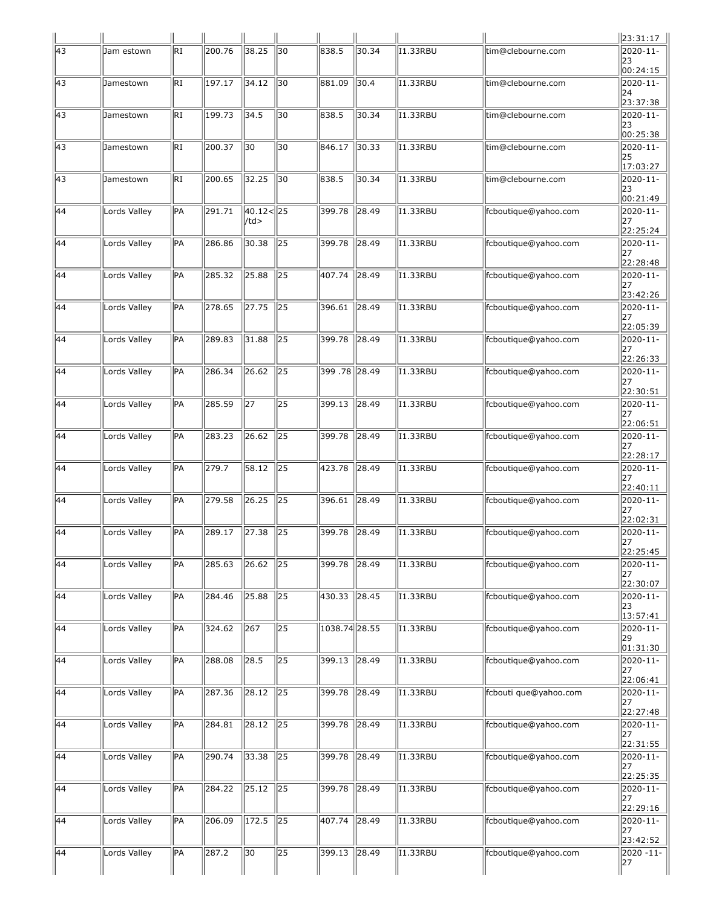|                 |              |                 |        |                    |                 |                 |                |                 |                       | 23:31:17                                |
|-----------------|--------------|-----------------|--------|--------------------|-----------------|-----------------|----------------|-----------------|-----------------------|-----------------------------------------|
| $\sqrt{43}$     | Jam estown   | RI              | 200.76 | 38.25              | 30              | 838.5           | 30.34          | II.33RBU        | tim@clebourne.com     | 2020-11-<br>23<br>00:24:15              |
| 43              | Jamestown    | RI              | 197.17 | 34.12              | 30              | 881.09          | 30.4           | I1.33RBU        | tim@clebourne.com     | 2020-11-<br>24<br>23:37:38              |
| $\sqrt{43}$     | Jamestown    | RI              | 199.73 | 34.5               | 30              | 838.5           | 30.34          | II.33RBU        | tim@clebourne.com     | 2020-11-<br>23<br>00:25:38              |
| $\sqrt{43}$     | Jamestown    | RI              | 200.37 | 30                 | 30              | 846.17          | 30.33          | II.33RBU        | tim@clebourne.com     | 2020-11-<br>25<br>17:03:27              |
| 43              | Jamestown    | RI              | 200.65 | 32.25              | 30              | 838.5           | 30.34          | 11.33RBU        | tim@clebourne.com     | 2020-11-<br>23<br>00:21:49              |
| $\sqrt{44}$     | Lords Valley | PA              | 291.71 | 40.12< 25 <br>/td> |                 | 399.78          | 28.49          | II.33RBU        | fcboutique@yahoo.com  | 2020-11-<br>27                          |
| 44              | Lords Valley | PA              | 286.86 | 30.38              | 25              | 399.78          | 28.49          | II.33RBU        | fcboutique@yahoo.com  | 22:25:24<br>2020-11-<br>27<br>22:28:48  |
| 44              | Lords Valley | PA              | 285.32 | 25.88              | 25              | 407.74          | 28.49          | <b>I1.33RBU</b> | fcboutique@yahoo.com  | 2020-11-<br>127<br>23:42:26             |
| $\overline{44}$ | Lords Valley | <b>PA</b>       | 278.65 | $\overline{27.75}$ | $\overline{25}$ | 396.61          | 28.49          | I1.33RBU        | fcboutique@yahoo.com  | 2020-11-<br>127<br>22:05:39             |
| 44              | Lords Valley | <b>PA</b>       | 289.83 | 31.88              | 25              | 399.78          | 28.49          | II.33RBU        | fcboutique@yahoo.com  | 2020-11-<br>27<br>22:26:33              |
| 44              | Lords Valley | PA              | 286.34 | 26.62              | 25              | 399 .78   28.49 |                | <b>I1.33RBU</b> | fcboutique@yahoo.com  | 2020-11-<br>27                          |
| $\overline{44}$ | Lords Valley | <b>PA</b>       | 285.59 | $\overline{27}$    | $\overline{25}$ | 399.13          | $\sqrt{28.49}$ | I1.33RBU        | fcboutique@yahoo.com  | 22:30:51<br>2020-11-<br>127             |
| 44              | Lords Valley | <b>PA</b>       | 283.23 | 26.62              | 25              | 399.78          | 28.49          | II.33RBU        | fcboutique@yahoo.com  | 22:06:51<br>2020-11-<br> 27<br>22:28:17 |
| 44              | Lords Valley | PA              | 279.7  | 58.12              | 25              | 423.78          | 28.49          | <b>I1.33RBU</b> | fcboutique@yahoo.com  | 2020-11-<br>27<br>22:40:11              |
| $\overline{44}$ | Lords Valley | <b>PA</b>       | 279.58 | 26.25              | $\overline{25}$ | 396.61          | $\sqrt{28.49}$ | I1.33RBU        | fcboutique@yahoo.com  | 2020-11-<br>127<br>22:02:31             |
| 44              | Lords Valley | <b>PA</b>       | 289.17 | 27.38              | 25              | 399.78          | 28.49          | I1.33RBU        | fcboutique@yahoo.com  | 2020-11-<br> 27<br>22:25:45             |
| $\overline{44}$ | Lords Valley | PA              | 285.63 | 26.62              | 25              | 399.78          | 28.49          | I1.33RBU        | fcboutique@yahoo.com  | 2020-11-<br>27<br>22:30:07              |
| 44              | Lords Valley | <b>PA</b>       | 284.46 | 25.88              | $\overline{25}$ | 430.33          | 28.45          | II.33RBU        | fcboutique@yahoo.com  | $\overline{20}20-11-$<br>23<br>13:57:41 |
| $\overline{44}$ | Lords Valley | $\overline{PA}$ | 324.62 | 267                | $\overline{25}$ | 1038.74 28.55   |                | 11.33RBU        | fcboutique@yahoo.com  | 2020-11-<br>29<br> 01:31:30             |
| 44              | Lords Valley | PA              | 288.08 | 28.5               | 25              | 399.13          | 28.49          | 11.33RBU        | fcboutique@yahoo.com  | 2020-11-<br>27<br>22:06:41              |
| 44              | Lords Valley | <b>PA</b>       | 287.36 | 28.12              | $\overline{25}$ | 399.78          | 28.49          | I1.33RBU        | fcbouti que@yahoo.com | 2020-11-<br>27<br>22:27:48              |
| $\sqrt{44}$     | Lords Valley | PA              | 284.81 | 28.12              | $\overline{25}$ | 399.78          | 28.49          | I1.33RBU        | fcboutique@yahoo.com  | 2020-11-<br>127<br>22:31:55             |
| 44              | Lords Valley | PA              | 290.74 | 33.38              | 25              | 399.78          | 28.49          | I1.33RBU        | fcboutique@yahoo.com  | 2020-11-<br>27<br>22:25:35              |
| 44              | Lords Valley | <b>PA</b>       | 284.22 | 25.12              | 25              | 399.78          | 28.49          | II.33RBU        | fcboutique@yahoo.com  | 2020-11-<br>27<br>22:29:16              |
| $\sqrt{44}$     | Lords Valley | PA              | 206.09 | 172.5              | $\sqrt{25}$     | 407.74          | 28.49          | I1.33RBU        | fcboutique@yahoo.com  | 2020-11-<br>27<br>23:42:52              |
| 44              | Lords Valley | PA              | 287.2  | 30                 | $\sqrt{25}$     | 399.13          | 28.49          | II.33RBU        | fcboutique@yahoo.com  | 2020 -11-<br>27                         |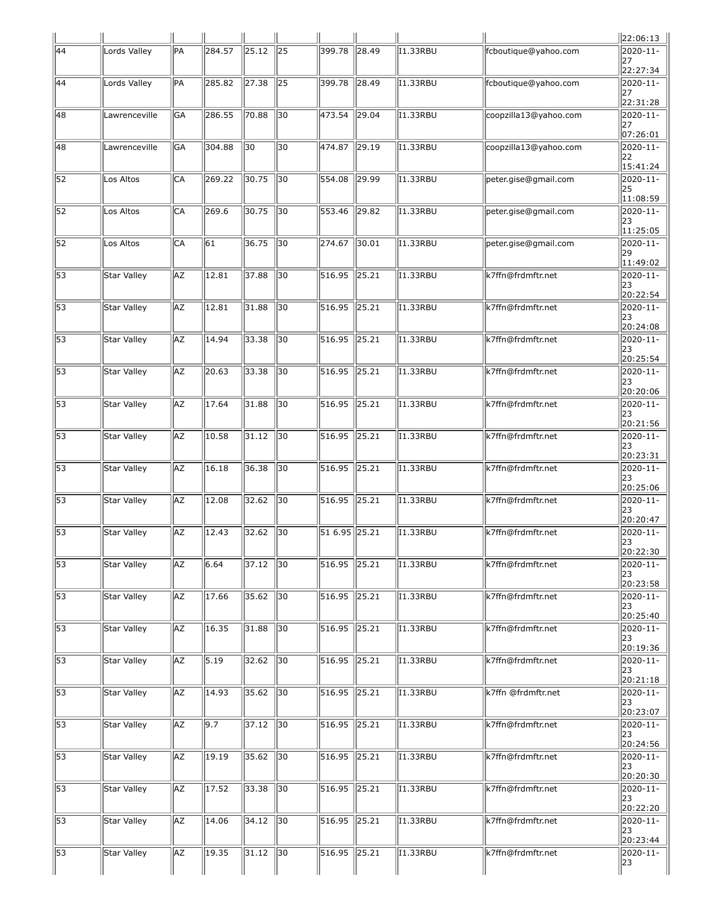|                 |                    |           |                    |       |                 |                     |                |                 |                       | 22:06:13                             |
|-----------------|--------------------|-----------|--------------------|-------|-----------------|---------------------|----------------|-----------------|-----------------------|--------------------------------------|
| $\sqrt{44}$     | Lords Valley       | <b>PA</b> | 284.57             | 25.12 | 25              | 399.78              | 28.49          | I1.33RBU        | fcboutique@yahoo.com  | 2020-11-<br>27<br>22:27:34           |
| $\overline{44}$ | Lords Valley       | <b>PA</b> | 285.82             | 27.38 | $\overline{25}$ | 399.78              | $\sqrt{28.49}$ | I1.33RBU        | fcboutique@yahoo.com  | 2020-11-<br>127<br>22:31:28          |
| 48              | Lawrenceville      | GA        | 286.55             | 70.88 | 30              | 473.54              | $\sqrt{29.04}$ | I1.33RBU        | coopzilla13@yahoo.com | 2020-11-<br>127<br>07:26:01          |
| 48              | Lawrenceville      | GA        | 304.88             | 30    | 30              | 474.87              | $\vert$ 29.19  | II.33RBU        | coopzilla13@yahoo.com | 2020-11-<br>22<br>15:41:24           |
| $\overline{52}$ | Los Altos          | lСА       | 269.22             | 30.75 | 30              | 554.08              | 29.99          | I1.33RBU        | peter.gise@gmail.com  | 2020-11-<br>25<br>11:08:59           |
| $\overline{52}$ | Los Altos          | lСА       | 269.6              | 30.75 | 30              | 553.46              | $\sqrt{29.82}$ | I1.33RBU        | peter.gise@gmail.com  | 2020-11-<br> 23<br>11:25:05          |
| 52              | Los Altos          | CА        | 61                 | 36.75 | 30              | 274.67              | 30.01          | II.33RBU        | peter.gise@gmail.com  | 2020-11-<br>29<br>11:49:02           |
| $\overline{53}$ | Star Valley        | <b>AZ</b> | 12.81              | 37.88 | 30              | 516.95              | $\ 25.21$      | I1.33RBU        | k7ffn@frdmftr.net     | 2020-11-<br> 23<br>20:22:54          |
| $\overline{53}$ | Star Valley        | <b>AZ</b> | 12.81              | 31.88 | $\overline{30}$ | 516.95              | $\sqrt{25.21}$ | 11.33RBU        | k7ffn@frdmftr.net     | 2020-11-<br>123<br>20:24:08          |
| $\overline{53}$ | Star Valley        | AZ        | 14.94              | 33.38 | 30              | 516.95              | $\ 25.21$      | II.33RBU        | k7ffn@frdmftr.net     | 2020-11-<br>23<br>20:25:54           |
| $\overline{53}$ | Star Valley        | <b>AZ</b> | 20.63              | 33.38 | 30              | 516.95              | $\sqrt{25.21}$ | I1.33RBU        | k7ffn@frdmftr.net     | 2020-11-<br>123<br>20:20:06          |
| $\overline{53}$ | Star Valley        | <b>AZ</b> | 17.64              | 31.88 | $\overline{30}$ | 516.95              | $\sqrt{25.21}$ | I1.33RBU        | k7ffn@frdmftr.net     | $2020 - 11 -$<br>123<br>20:21:56     |
| 53              | Star Valley        | AZ        | 10.58              | 31.12 | 30              | 516.95              | $\ 25.21$      | I1.33RBU        | k7ffn@frdmftr.net     | 2020-11-<br> 23<br>20:23:31          |
| $\overline{53}$ | Star Valley        | <b>AZ</b> | 16.18              | 36.38 | 30              | 516.95              | $\ 25.21$      | I1.33RBU        | k7ffn@frdmftr.net     | 2020-11-<br>123<br>20:25:06          |
| 53              | Star Valley        | <b>AZ</b> | 12.08              | 32.62 | 30              | 516.95              | $\sqrt{25.21}$ | I1.33RBU        | k7ffn@frdmftr.net     | 2020-11-<br>123<br>20:20:47          |
| 53              | Star Valley        | AZ        | 12.43              | 32.62 | 30              | 51 6.95 25.21       |                | I1.33RBU        | k7ffn@frdmftr.net     | 2020-11-<br> 23<br>20:22:30          |
| 53              | Star Valley        | <b>AZ</b> | 6.64               | 37.12 | 30              | 516.95              | $\ 25.21$      | I1.33RBU        | k7ffn@frdmftr.net     | 2020-11-<br>123<br>20:23:58          |
| 53              | Star Valley        | AZ        | 17.66              | 35.62 | 30              | 516.95              | $\sqrt{25.21}$ | I1.33RBU        | k7ffn@frdmftr.net     | 2020-11-<br> 23<br>20:25:40          |
| $\overline{53}$ | <b>Star Valley</b> | <b>AZ</b> | 16.35              | 31.88 | 30              | 516.95              | $\sqrt{25.21}$ | <b>I1.33RBU</b> | k7ffn@frdmftr.net     | 2020-11-<br>23<br>20:19:36           |
| $\overline{53}$ | Star Valley        | AZ        | 5.19               | 32.62 | 30              | 516.95              | $\sqrt{25.21}$ | <b>I1.33RBU</b> | k7ffn@frdmftr.net     | 2020-11-<br>123<br>20:21:18          |
| $\overline{53}$ | Star Valley        | AZ        | 14.93              | 35.62 | 30              | 516.95              | $\sqrt{25.21}$ | I1.33RBU        | k7ffn @frdmftr.net    | 2020-11-<br> 23<br>20:23:07          |
| $\overline{53}$ | Star Valley        | <b>AZ</b> | 9.7                | 37.12 | 30              | 516.95              | $\sqrt{25.21}$ | I1.33RBU        | k7ffn@frdmftr.net     | 2020-11-<br>23<br>20:24:56           |
| $\overline{53}$ | Star Valley        | AZ        | 19.19              | 35.62 | 30              | 516.95              | $\sqrt{25.21}$ | I1.33RBU        | k7ffn@frdmftr.net     | 2020-11-<br>123<br>20:20:30          |
| $\overline{53}$ | Star Valley        | AZ        | $\overline{17.52}$ | 33.38 | 30              | $\sqrt{516.95}$     | $\sqrt{25.21}$ | I1.33RBU        | k7ffn@frdmftr.net     | 2020-11-<br>23<br>20:22:20           |
| $\overline{53}$ | Star Valley        | <b>AZ</b> | 14.06              | 34.12 | 30              | 516.95              | $\ 25.21$      | 11.33RBU        | k7ffn@frdmftr.net     | $\sqrt{2020-11}$ -<br>23<br>20:23:44 |
| 53              | Star Valley        | AZ        | 19.35              | 31.12 | 30              | $\overline{516.95}$ | $\sqrt{25.21}$ | I1.33RBU        | k7ffn@frdmftr.net     | 2020-11-<br>23                       |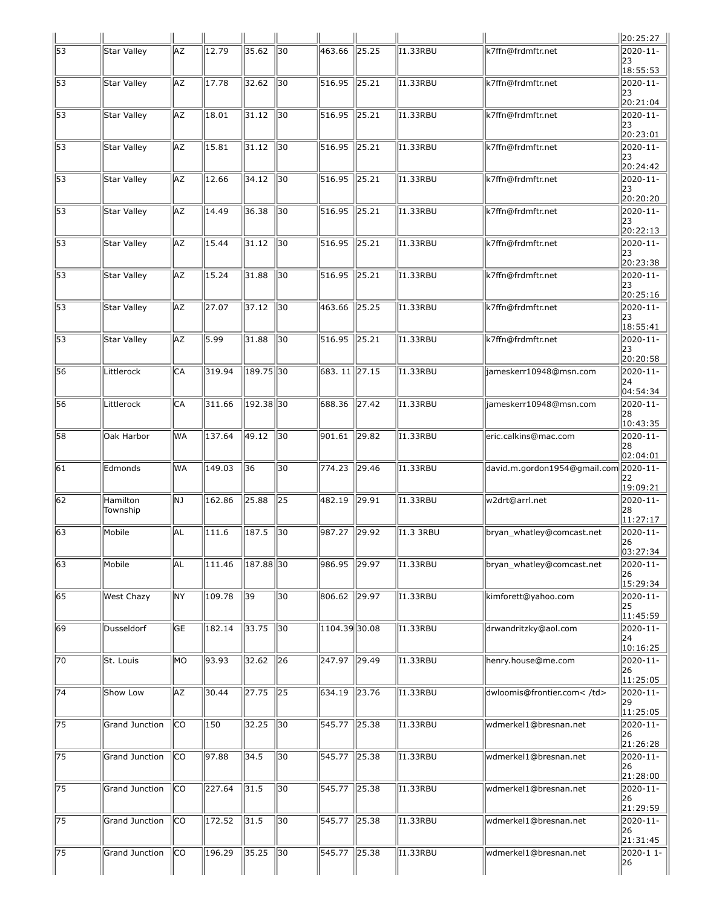|                 |                      |           |                     |                    |                 |                 |                |                  |                                       | 20:25:27                        |
|-----------------|----------------------|-----------|---------------------|--------------------|-----------------|-----------------|----------------|------------------|---------------------------------------|---------------------------------|
| 53              | Star Valley          | AZ        | 12.79               | 35.62              | 30              | 463.66          | 25.25          | II.33RBU         | k7ffn@frdmftr.net                     | 2020-11-<br>23<br>18:55:53      |
| 53              | Star Valley          | AZ        | 17.78               | 32.62              | 30              | 516.95          | 25.21          | I1.33RBU         | k7ffn@frdmftr.net                     | 2020-11-<br>123<br>20:21:04     |
| $\overline{53}$ | Star Valley          | AZ        | 18.01               | 31.12              | 30              | 516.95          | 25.21          | I1.33RBU         | k7ffn@frdmftr.net                     | 2020-11-<br>23<br>20:23:01      |
| $\overline{53}$ | Star Valley          | AZ        | 15.81               | 31.12              | 30              | 516.95          | 25.21          | <b>I1.33RBU</b>  | k7ffn@frdmftr.net                     | 2020-11-<br>23<br>20:24:42      |
| 53              | Star Valley          | AZ        | 12.66               | 34.12              | 30              | 516.95          | 25.21          | 11.33RBU         | k7ffn@frdmftr.net                     | 2020-11-<br> 23<br>20:20:20     |
| $\overline{53}$ | Star Valley          | AZ        | 14.49               | 36.38              | 30              | 516.95          | 25.21          | I1.33RBU         | k7ffn@frdmftr.net                     | 2020-11-<br>23<br>20:22:13      |
| 53              | Star Valley          | AZ        | 15.44               | 31.12              | 30              | 516.95          | $\sqrt{25.21}$ | <b>I1.33RBU</b>  | k7ffn@frdmftr.net                     | 2020-11-<br>23<br>20:23:38      |
| 53              | Star Valley          | AZ        | 15.24               | 31.88              | 30              | 516.95          | 25.21          | I1.33RBU         | k7ffn@frdmftr.net                     | 2020-11-<br>123<br>20:25:16     |
| 53              | Star Valley          | AZ        | 27.07               | 37.12              | 30              | 463.66          | 25.25          | II.33RBU         | k7ffn@frdmftr.net                     | 2020-11-<br>23<br>18:55:41      |
| 53              | Star Valley          | AZ        | 5.99                | 31.88              | 30              | 516.95          | 25.21          | <b>I1.33RBU</b>  | k7ffn@frdmftr.net                     | 2020-11-<br>23<br>20:20:58      |
| 56              | Littlerock           | CA        | 319.94              | 189.75 30          |                 | 683. 11 27.15   |                | I1.33RBU         | jameskerr10948@msn.com                | 2020-11-<br>24<br>04:54:34      |
| 56              | Littlerock           | CA        | 311.66              | 192.38 30          |                 | 688.36          | 27.42          | <b>I1.33RBU</b>  | jameskerr10948@msn.com                | 2020-11-<br>28<br>10:43:35      |
| 58              | Oak Harbor           | <b>WA</b> | 137.64              | 49.12              | 30              | 901.61          | 29.82          | <b>I1.33RBU</b>  | eric.calkins@mac.com                  | 2020-11-<br>28<br>02:04:01      |
| $\overline{61}$ | Edmonds              | <b>WA</b> | 149.03              | 36                 | 30              | 774.23          | 29.46          | I1.33RBU         | david.m.gordon1954@gmail.com 2020-11- | 22<br>19:09:21                  |
| 62              | Hamilton<br>Township | NJ        | 162.86              | 25.88              | 25              | 482.19          | 29.91          | 11.33RBU         | w2drt@arrl.net                        | $2020 - 11 -$<br>28<br>11:27:17 |
| 63              | Mobile               | AL        | 111.6               | 187.5              | 30              | 987.27          | 29.92          | <b>I1.3 3RBU</b> | bryan_whatley@comcast.net             | 2020-11-<br>26<br>03:27:34      |
| $\sqrt{63}$     | Mobile               | AL        | 111.46              | 187.88 30          |                 | 986.95          | 29.97          | II.33RBU         | bryan_whatley@comcast.net             | 2020-11-<br>26<br>15:29:34      |
| 65              | West Chazy           | NY        | 109.78              | $\overline{39}$    | 30              | 806.62          | 29.97          | II.33RBU         | kimforett@yahoo.com                   | 2020-11-<br>25<br>11:45:59      |
| 69              | Dusseldorf           | <b>GE</b> | 182.14              | 33.75              | $\overline{30}$ | $1104.39$ 30.08 |                | <b>I1.33RBU</b>  | drwandritzky@aol.com                  | 2020-11-<br>24<br>10:16:25      |
| 70              | St. Louis            | MO        | 93.93               | 32.62              | 26              | 247.97          | $\sqrt{29.49}$ | I1.33RBU         | henry.house@me.com                    | 2020-11-<br>26<br>11:25:05      |
| $\sqrt{74}$     | Show Low             | AZ        | 30.44               | $\overline{27.75}$ | $\sqrt{25}$     | 634.19          | $\sqrt{23.76}$ | I1.33RBU         | dwloomis@frontier.com                 | 2020-11-<br>29<br>11:25:05      |
| $\overline{75}$ | Grand Junction       | lco       | 150                 | 32.25              | $\overline{30}$ | 545.77          | $\sqrt{25.38}$ | I1.33RBU         | wdmerkel1@bresnan.net                 | 2020-11-<br>26<br>21:26:28      |
| $\sqrt{75}$     | Grand Junction       | lco       | 97.88               | 34.5               | 30              | 545.77          | 25.38          | II.33RBU         | wdmerkel1@bresnan.net                 | 2020-11-<br> 26<br>21:28:00     |
| $\overline{75}$ | Grand Junction       | lco       | $\overline{227.64}$ | 31.5               | 30              | 545.77          | 25.38          | II.33RBU         | wdmerkel1@bresnan.net                 | 2020-11-<br>26<br>21:29:59      |
| $\overline{75}$ | Grand Junction       | lco       | 172.52              | 31.5               | $\overline{30}$ | 545.77          | $\sqrt{25.38}$ | I1.33RBU         | wdmerkel1@bresnan.net                 | 2020-11-<br>26<br>21:31:45      |
| $\sqrt{75}$     | Grand Junction       | lco       | 196.29              | 35.25              | 30              | 545.77          | 25.38          | I1.33RBU         | wdmerkel1@bresnan.net                 | 2020-1 1-<br>26                 |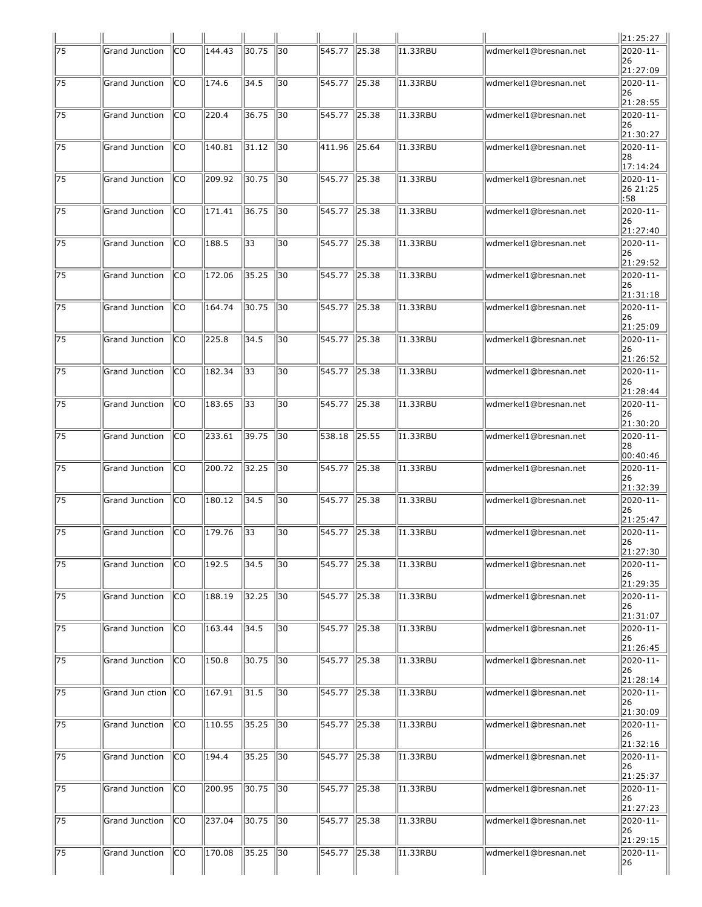|                 |                       |           |        |       |                 |                     |                |                 |                       | 21:25:27                             |
|-----------------|-----------------------|-----------|--------|-------|-----------------|---------------------|----------------|-----------------|-----------------------|--------------------------------------|
| 75              | <b>Grand Junction</b> | CO        | 144.43 | 30.75 | 30              | 545.77              | 25.38          | I1.33RBU        | wdmerkel1@bresnan.net | 2020-11-<br>126<br>21:27:09          |
| 75              | <b>Grand Junction</b> | СO        | 174.6  | 34.5  | 30              | 545.77              | 25.38          | I1.33RBU        | wdmerkel1@bresnan.net | 2020-11-<br>126<br>21:28:55          |
| $\sqrt{75}$     | Grand Junction        | lco       | 220.4  | 36.75 | 30              | 545.77              | $\ 25.38$      | I1.33RBU        | wdmerkel1@bresnan.net | 2020-11-<br> 26<br>21:30:27          |
| 75              | Grand Junction        | CO        | 140.81 | 31.12 | 30              | 411.96              | 25.64          | <b>I1.33RBU</b> | wdmerkel1@bresnan.net | 2020-11-<br>128<br>17:14:24          |
| 75              | Grand Junction        | СO        | 209.92 | 30.75 | 30              | 545.77              | 25.38          | I1.33RBU        | wdmerkel1@bresnan.net | 2020-11-<br>26 21:25<br>:58          |
| $\overline{75}$ | Grand Junction        | lco       | 171.41 | 36.75 | 30              | 545.77              | 25.38          | I1.33RBU        | wdmerkel1@bresnan.net | 2020-11-<br>126<br>21:27:40          |
| 75              | Grand Junction        | lСО       | 188.5  | 33    | 30              | 545.77              | 25.38          | <b>I1.33RBU</b> | wdmerkel1@bresnan.net | 2020-11-<br> 26<br>21:29:52          |
| 75              | <b>Grand Junction</b> | СO        | 172.06 | 35.25 | 30              | 545.77              | 25.38          | I1.33RBU        | wdmerkel1@bresnan.net | 2020-11-<br>126<br>21:31:18          |
| $\overline{75}$ | <b>Grand Junction</b> | lco       | 164.74 | 30.75 | 30              | 545.77              | $\sqrt{25.38}$ | I1.33RBU        | wdmerkel1@bresnan.net | 2020-11-<br>126<br>21:25:09          |
| 75              | Grand Junction        | CO        | 225.8  | 34.5  | 30              | 545.77              | 25.38          | I1.33RBU        | wdmerkel1@bresnan.net | 2020-11-<br> 26<br>21:26:52          |
| 75              | Grand Junction        | СO        | 182.34 | 33    | 30              | 545.77              | 25.38          | I1.33RBU        | wdmerkel1@bresnan.net | 2020-11-<br>126<br>21:28:44          |
| $\overline{75}$ | Grand Junction        | lco       | 183.65 | 33    | 30              | 545.77              | $\sqrt{25.38}$ | I1.33RBU        | wdmerkel1@bresnan.net | 2020-11-<br>126<br>21:30:20          |
| 75              | Grand Junction        | CO        | 233.61 | 39.75 | 30              | 538.18              | 25.55          | <b>I1.33RBU</b> | wdmerkel1@bresnan.net | 2020-11-<br> 28<br>00:40:46          |
| 75              | <b>Grand Junction</b> | CO        | 200.72 | 32.25 | 30              | 545.77              | 25.38          | I1.33RBU        | wdmerkel1@bresnan.net | 2020-11-<br>126<br>21:32:39          |
| $\overline{75}$ | <b>Grand Junction</b> | lсо       | 180.12 | 34.5  | 30              | $\sqrt{545.77}$     | $\sqrt{25.38}$ | I1.33RBU        | wdmerkel1@bresnan.net | 2020-11-<br>l26<br>21:25:47          |
| 75              | Grand Junction        | CO        | 179.76 | 33    | 30              | 545.77              | 25.38          | I1.33RBU        | wdmerkel1@bresnan.net | 2020-11-<br>  26<br>$\vert$ 21:27:30 |
| $\overline{75}$ | Grand Junction        | lco       | 192.5  | 34.5  | 30              | 545.77              | 25.38          | I1.33RBU        | wdmerkel1@bresnan.net | 2020-11-<br>26<br>21:29:35           |
| $\overline{75}$ | <b>Grand Junction</b> | lco       | 188.19 | 32.25 | 30              | 545.77              | $\sqrt{25.38}$ | I1.33RBU        | wdmerkel1@bresnan.net | 2020-11-<br>26<br>21:31:07           |
| $\overline{75}$ | Grand Junction        | <b>CO</b> | 163.44 | 34.5  | $\overline{30}$ | 545.77              | 725.38         | <b>I1.33RBU</b> | wdmerkel1@bresnan.net | $2020 - 11 -$<br>26<br>21:26:45      |
| 75              | Grand Junction        | lco       | 150.8  | 30.75 | 30              | 545.77              | 25.38          | I1.33RBU        | wdmerkel1@bresnan.net | 2020-11-<br>126<br>21:28:14          |
| 75              | Grand Jun ction       | lco       | 167.91 | 31.5  | 30              | 545.77              | $\sqrt{25.38}$ | I1.33RBU        | wdmerkel1@bresnan.net | 2020-11-<br>26<br>21:30:09           |
| $\overline{75}$ | Grand Junction        | lco       | 110.55 | 35.25 | 30              | 545.77              | 25.38          | I1.33RBU        | wdmerkel1@bresnan.net | 2020-11-<br>126<br>21:32:16          |
| 75              | Grand Junction        | lco       | 194.4  | 35.25 | 30              | 545.77              | 25.38          | I1.33RBU        | wdmerkel1@bresnan.net | 2020-11-<br>126<br>21:25:37          |
| 75              | Grand Junction        | lco       | 200.95 | 30.75 | $\parallel$ 30  | $\overline{545.77}$ | $\sqrt{25.38}$ | I1.33RBU        | wdmerkel1@bresnan.net | 2020-11-<br>26<br>21:27:23           |
| $\overline{75}$ | Grand Junction        | lco       | 237.04 | 30.75 | 30              | 545.77              | 25.38          | I1.33RBU        | wdmerkel1@bresnan.net | 2020-11-<br>26<br>21:29:15           |
| $\sqrt{75}$     | Grand Junction        | lco       | 170.08 | 35.25 | 30              | 545.77              | $\sqrt{25.38}$ | I1.33RBU        | wdmerkel1@bresnan.net | 2020-11-<br> 26                      |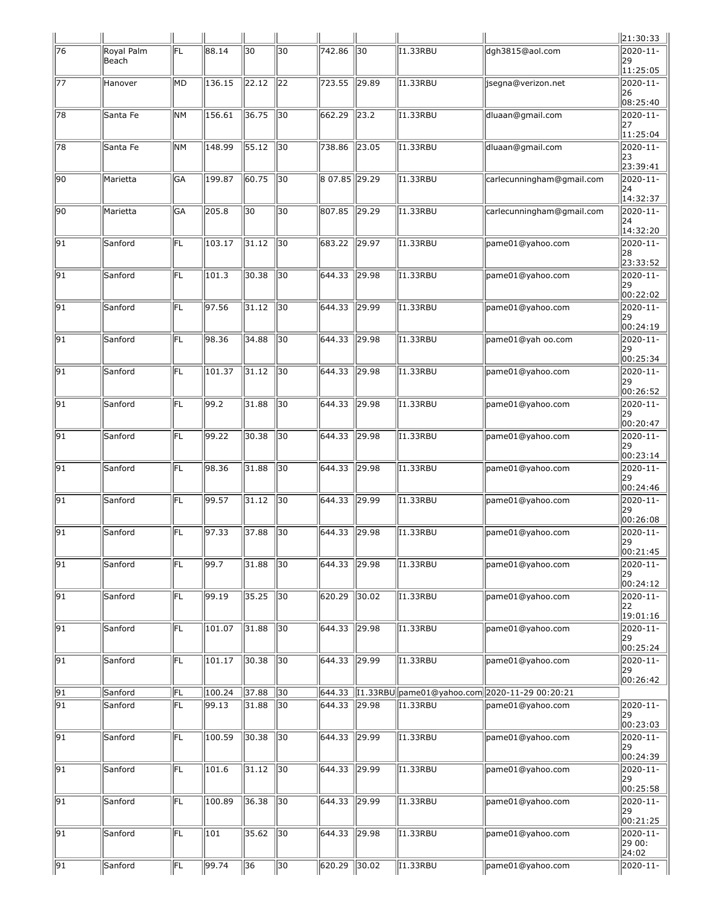|                 |                     |           |        |             |                 |               |                |                 |                                                 | 21:30:33                              |
|-----------------|---------------------|-----------|--------|-------------|-----------------|---------------|----------------|-----------------|-------------------------------------------------|---------------------------------------|
| 76              | Royal Palm<br>Beach | FL        | 88.14  | 30          | 30              | 742.86        | $\sqrt{30}$    | <b>I1.33RBU</b> | dgh3815@aol.com                                 | 2020-11-<br>29<br>11:25:05            |
| 77              | Hanover             | MD        | 136.15 | 22.12       | 22              | 723.55        | 29.89          | 11.33RBU        | isegna@verizon.net                              | 2020-11-<br>26                        |
| 78              | Santa Fe            | <b>NM</b> | 156.61 | 36.75       | $\overline{30}$ | 662.29        | $\sqrt{23.2}$  | 11.33RBU        | dluaan@gmail.com                                | 08:25:40<br>2020-11-<br>127           |
| 78              | Santa Fe            | NМ        | 148.99 | 55.12       | $\overline{30}$ | 738.86        | 723.05         | I1.33RBU        | dluaan@gmail.com                                | 11:25:04<br>2020-11-<br>23            |
| 90              | Marietta            | GA        | 199.87 | 60.75       | 30              | 8 07.85 29.29 |                | I1.33RBU        | carlecunningham@gmail.com                       | 23:39:41<br>2020-11-<br>24            |
| 90              | Marietta            | GA        | 205.8  | 30          | 30              | 807.85        | 29.29          | 11.33RBU        | carlecunningham@gmail.com                       | 14:32:37<br>2020-11-<br>24            |
| 91              | Sanford             | FL        | 103.17 | 31.12       | $\overline{30}$ | 683.22        | $\sqrt{29.97}$ | I1.33RBU        | pame01@yahoo.com                                | 14:32:20<br>2020-11-<br>28            |
| 91              | Sanford             | FL        | 101.3  | 30.38       | 30              | 644.33        | 29.98          | 11.33RBU        | pame01@yahoo.com                                | 23:33:52<br>2020-11-<br> 29           |
| 91              | Sanford             | FL        | 97.56  | 31.12       | 30              | 644.33        | 29.99          | 11.33RBU        | pame01@yahoo.com                                | 00:22:02<br>2020-11-<br> 29           |
| $\overline{91}$ | Sanford             | FL        | 98.36  | 34.88       | $\overline{30}$ | 644.33        | $\sqrt{29.98}$ | I1.33RBU        | pame01@yah oo.com                               | 00:24:19<br>2020-11-<br>29            |
| 91              | Sanford             | FL        | 101.37 | 31.12       | 30              | 644.33        | 29.98          | 11.33RBU        | pame01@yahoo.com                                | 00:25:34<br>2020-11-<br> 29           |
| $\overline{91}$ | Sanford             | FL        | 99.2   | 31.88       | 30              | 644.33        | 29.98          | 11.33RBU        | pame01@yahoo.com                                | 00:26:52<br>2020-11-<br>29            |
| 91              | Sanford             | FL        | 99.22  | 30.38       | $\overline{30}$ | 644.33        | 29.98          | I1.33RBU        | pame01@yahoo.com                                | 00:20:47<br>2020-11-<br>29            |
| 91              | Sanford             | FL        | 98.36  | 31.88       | 30              | 644.33        | 29.98          | 11.33RBU        | pame01@yahoo.com                                | 00:23:14<br>2020-11-<br> 29           |
| 91              | Sanford             | FL        | 99.57  | 31.12       | 30              | 644.33        | 29.99          | 11.33RBU        | pame01@yahoo.com                                | 00:24:46<br>2020-11-<br>29            |
| $\sqrt{91}$     | Sanford             | 厑         | 97.33  | 37.88       | $\sqrt{30}$     | 644.33 29.98  |                | I1.33RBU        | pame01@yahoo.com                                | 00:26:08<br>2020-11-<br>  29          |
| $\overline{91}$ | Sanford             | FL        | 99.7   | 31.88       | 30              | 644.33        | 29.98          | 11.33RBU        | pame01@yahoo.com                                | 00:21:45<br>2020-11-<br>29            |
| 91              | Sanford             | FL        | 99.19  | 35.25       | 30              | 620.29        | 30.02          | <b>I1.33RBU</b> | pame01@yahoo.com                                | $ 00:24:12\rangle$<br>2020-11-<br>122 |
| $\overline{91}$ | Sanford             | 厑         | 101.07 | 31.88       | $\overline{30}$ | 644.33        | $\sqrt{29.98}$ | <b>I1.33RBU</b> | pame01@yahoo.com                                | 19:01:16<br>2020-11-<br>29            |
| $\overline{91}$ | Sanford             | 厑         | 101.17 | 30.38       | 30              | 644.33        | $\sqrt{29.99}$ | 11.33RBU        | pame01@yahoo.com                                | 00:25:24<br>2020-11-<br>29            |
| 91              | Sanford             | FL        | 100.24 | 37.88       | 30              | 644.33        |                |                 | I1.33RBU  pame01@yahoo.com  2020-11-29 00:20:21 | 00:26:42                              |
| $\overline{91}$ | Sanford             | FL        | 99.13  | 31.88       | 30              | 644.33        | 29.98          | <b>I1.33RBU</b> | pame01@yahoo.com                                | 2020-11-                              |
|                 |                     |           |        |             |                 |               |                |                 |                                                 | 29<br>00:23:03                        |
| 91              | Sanford             | FL        | 100.59 | 30.38       | $\overline{30}$ | 644.33        | 29.99          | I1.33RBU        | pame01@yahoo.com                                | 2020-11-<br> 29<br>00:24:39           |
| 91              | Sanford             | FL        | 101.6  | 31.12       | $\overline{30}$ | 644.33        | $\sqrt{29.99}$ | I1.33RBU        | pame01@yahoo.com                                | 2020-11-<br>129<br>00:25:58           |
| 91              | Sanford             | FL        | 100.89 | 36.38       | $\sqrt{30}$     | 644.33        | 29.99          | <b>I1.33RBU</b> | pame01@yahoo.com                                | 2020-11-<br>29<br>00:21:25            |
| 91              | Sanford             | FL        | 101    | 35.62       | 30              | 644.33        | 29.98          | I1.33RBU        | pame01@yahoo.com                                | 2020-11-<br>29 00:<br>24:02           |
| $\sqrt{91}$     | Sanford             | FL        | 99.74  | $\sqrt{36}$ | $\sqrt{30}$     | 620.29        | 30.02          | <b>I1.33RBU</b> | pame01@yahoo.com                                | 2020-11-                              |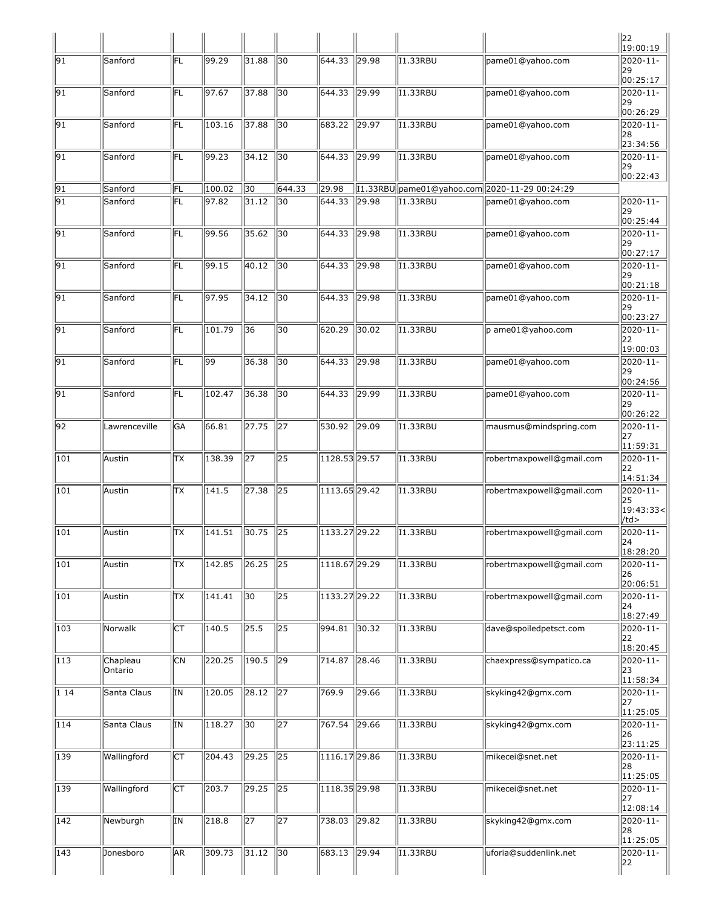|                  |                     |                 |        |                 |                 |                            |                |                 |                                               | $\ $ 22<br>$\ $ 19:00:19                    |
|------------------|---------------------|-----------------|--------|-----------------|-----------------|----------------------------|----------------|-----------------|-----------------------------------------------|---------------------------------------------|
| 91               | Sanford             | FL              | 99.29  | 31.88           | 30              | 644.33                     | 29.98          | I1.33RBU        | pame01@yahoo.com                              | 2020-11-<br> 29<br>00:25:17                 |
| 91               | Sanford             | FL              | 97.67  | 37.88           | 30              | 644.33                     | 29.99          | I1.33RBU        | pame01@yahoo.com                              | 2020-11-<br>29<br>00:26:29                  |
| 91               | Sanford             | FL              | 103.16 | 37.88           | 30              | 683.22                     | 29.97          | <b>I1.33RBU</b> | pame01@yahoo.com                              | 2020-11-<br>28<br>23:34:56                  |
| 91               | Sanford             | FL              | 99.23  | 34.12           | 30              | 644.33                     | 29.99          | I1.33RBU        | pame01@yahoo.com                              | $2020 - 11$<br>29<br>00:22:43               |
| 91               | Sanford             | FL              | 100.02 | 30              | 644.33          | 29.98                      |                |                 | [1.33RBU pame01@yahoo.com 2020-11-29 00:24:29 |                                             |
| 91               | Sanford             | FL              | 97.82  | 31.12           | 30              | 644.33                     | 29.98          | <b>I1.33RBU</b> | pame01@yahoo.com                              | 2020-11-<br>29<br>00:25:44                  |
| 91               | Sanford             | FL              | 99.56  | 35.62           | 30              | 644.33                     | 29.98          | I1.33RBU        | pame01@yahoo.com                              | 2020-11-<br>29<br>00:27:17                  |
| 91               | Sanford             | FL              | 99.15  | 40.12           | 30              | 644.33                     | 29.98          | I1.33RBU        | pame01@yahoo.com                              | 2020-11-<br>29<br>00:21:18                  |
| 91               | Sanford             | FL              | 97.95  | 34.12           | 30              | 644.33                     | 29.98          | I1.33RBU        | pame01@yahoo.com                              | 2020-11-<br> 29<br>00:23:27                 |
| 91               | Sanford             | FL              | 101.79 | 36              | 30              | 620.29                     | 30.02          | I1.33RBU        | p ame01@yahoo.com                             | 2020-11-<br>22<br>19:00:03                  |
| 91               | Sanford             | FL              | 99     | 36.38           | 30              | 644.33                     | 29.98          | I1.33RBU        | pame01@yahoo.com                              | 2020-11-<br>29                              |
| 91               | Sanford             | FL              | 102.47 | 36.38           | 30              | 644.33                     | 29.99          | I1.33RBU        | pame01@yahoo.com                              | 00:24:56<br>2020-11-<br>29<br>00:26:22      |
| $\overline{92}$  | Lawrenceville       | GA              | 66.81  | 27.75           | 27              | 530.92                     | 29.09          | I1.33RBU        | mausmus@mindspring.com                        | 2020-11-<br>127                             |
| 101              | Austin              | lтx             | 138.39 | 27              | 25              | 1128.53 29.57              |                | I1.33RBU        | robertmaxpowell@gmail.com                     | 11:59:31<br>2020-11-<br>122                 |
| 101              | Austin              | <b>TX</b>       | 141.5  | 27.38           | $\overline{25}$ | $1113.65$ <sub>29.42</sub> |                | I1.33RBU        | robertmaxpowell@gmail.com                     | 14:51:34<br>2020-11-<br>25<br> 19:43:33<    |
| $\overline{101}$ | lAustin             | TX              | 141.51 | 30.75           | 25              | 1133.27 29.22              |                | I1.33RBU        | robertmaxpowell@gmail.com                     | /td><br>2020-11-<br> 24                     |
| $\overline{101}$ | Austin              | TХ              | 142.85 | 26.25           | $\overline{25}$ | $1118.67$ <sub>29.29</sub> |                | I1.33RBU        | robertmaxpowell@gmail.com                     | 18:28:20<br>$2020 - 11$<br>26<br>20:06:51   |
| 101              | Austin              | $\overline{TX}$ | 141.41 | 30              | $\overline{25}$ | 1133.27 29.22              |                | <b>I1.33RBU</b> | robertmaxpowell@gmail.com                     | 2020-11-<br> 24                             |
| $\overline{103}$ | Norwalk             | lст             | 140.5  | 25.5            | $\overline{25}$ | 994.81                     | 30.32          | <b>I1.33RBU</b> | dave@spoiledpetsct.com                        | 18:27:49<br>$2020 - 11 -$<br>22<br>18:20:45 |
| 113              | Chapleau<br>Ontario | CN              | 220.25 | 190.5           | $\overline{29}$ | 714.87                     | $\sqrt{28.46}$ | I1.33RBU        | chaexpress@sympatico.ca                       | 2020-11-<br>23<br>11:58:34                  |
| $ 1\;14$         | Santa Claus         | IN              | 120.05 | 28.12           | $\overline{27}$ | 769.9                      | 29.66          | <b>I1.33RBU</b> | skyking42@gmx.com                             | 2020-11-<br>27                              |
| $\overline{114}$ | Santa Claus         | IN              | 118.27 | 30              | $\overline{27}$ | 767.54                     | 29.66          | I1.33RBU        | skyking42@gmx.com                             | 11:25:05<br>2020-11-<br>26                  |
| 139              | Wallingford         | IСТ             | 204.43 | 29.25           | $\overline{25}$ | $1116.17$ <sub>29.86</sub> |                | I1.33RBU        | mikecei@snet.net                              | 23:11:25<br>2020-11-<br>28                  |
| 139              | Wallingford         | Iст             | 203.7  | 29.25           | $\overline{25}$ | 1118.35 29.98              |                | I1.33RBU        | mikecei@snet.net                              | 11:25:05<br>2020-11-<br> 27                 |
| $\overline{142}$ | Newburgh            | IN              | 218.8  | $\overline{27}$ | $\overline{27}$ | 738.03                     | 29.82          | I1.33RBU        | skyking42@gmx.com                             | 12:08:14<br>2020-11-<br>28                  |
| 143              | Jonesboro           | AR              | 309.73 | 31.12           | 30              | 683.13                     | $\sqrt{29.94}$ | <b>I1.33RBU</b> | uforia@suddenlink.net                         | 11:25:05<br>2020-11-<br>22                  |